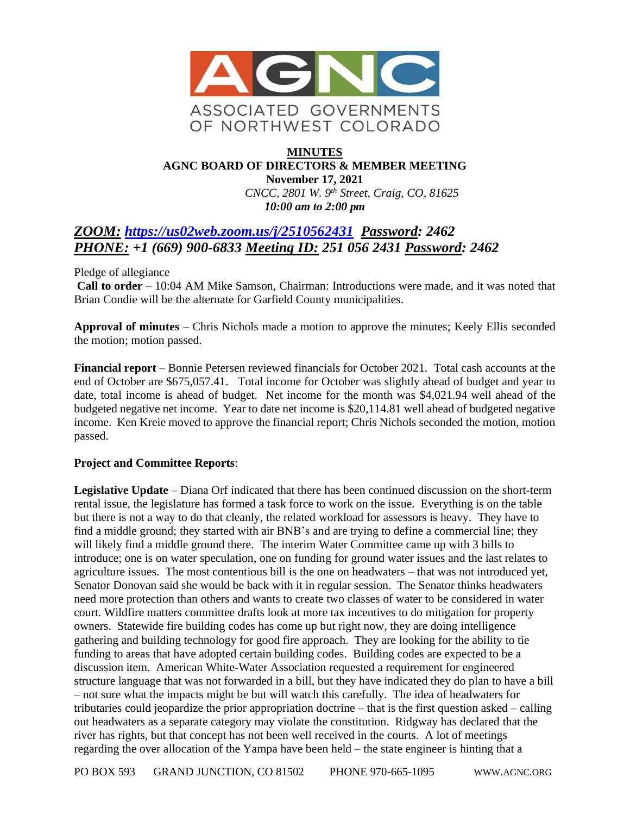

# **MINUTES AGNC BOARD OF DIRECTORS & MEMBER MEETING**

**November 17, 2021** *CNCC, 2801 W. 9th Street, Craig, CO, 81625 10:00 am to 2:00 pm*

# *ZOOM: <https://us02web.zoom.us/j/2510562431>**Password: 2462 PHONE: +1 (669) 900-6833 Meeting ID: 251 056 2431 Password: 2462*

Pledge of allegiance

**Call to order** – 10:04 AM Mike Samson, Chairman: Introductions were made, and it was noted that Brian Condie will be the alternate for Garfield County municipalities.

**Approval of minutes** – Chris Nichols made a motion to approve the minutes; Keely Ellis seconded the motion; motion passed.

**Financial report** – Bonnie Petersen reviewed financials for October 2021. Total cash accounts at the end of October are \$675,057.41. Total income for October was slightly ahead of budget and year to date, total income is ahead of budget. Net income for the month was \$4,021.94 well ahead of the budgeted negative net income. Year to date net income is \$20,114.81 well ahead of budgeted negative income. Ken Kreie moved to approve the financial report; Chris Nichols seconded the motion, motion passed.

## **Project and Committee Reports**:

**Legislative Update** – Diana Orf indicated that there has been continued discussion on the short-term rental issue, the legislature has formed a task force to work on the issue. Everything is on the table but there is not a way to do that cleanly, the related workload for assessors is heavy. They have to find a middle ground; they started with air BNB's and are trying to define a commercial line; they will likely find a middle ground there. The interim Water Committee came up with 3 bills to introduce; one is on water speculation, one on funding for ground water issues and the last relates to agriculture issues. The most contentious bill is the one on headwaters – that was not introduced yet, Senator Donovan said she would be back with it in regular session. The Senator thinks headwaters need more protection than others and wants to create two classes of water to be considered in water court. Wildfire matters committee drafts look at more tax incentives to do mitigation for property owners. Statewide fire building codes has come up but right now, they are doing intelligence gathering and building technology for good fire approach. They are looking for the ability to tie funding to areas that have adopted certain building codes. Building codes are expected to be a discussion item. American White-Water Association requested a requirement for engineered structure language that was not forwarded in a bill, but they have indicated they do plan to have a bill – not sure what the impacts might be but will watch this carefully. The idea of headwaters for tributaries could jeopardize the prior appropriation doctrine – that is the first question asked – calling out headwaters as a separate category may violate the constitution. Ridgway has declared that the river has rights, but that concept has not been well received in the courts. A lot of meetings regarding the over allocation of the Yampa have been held – the state engineer is hinting that a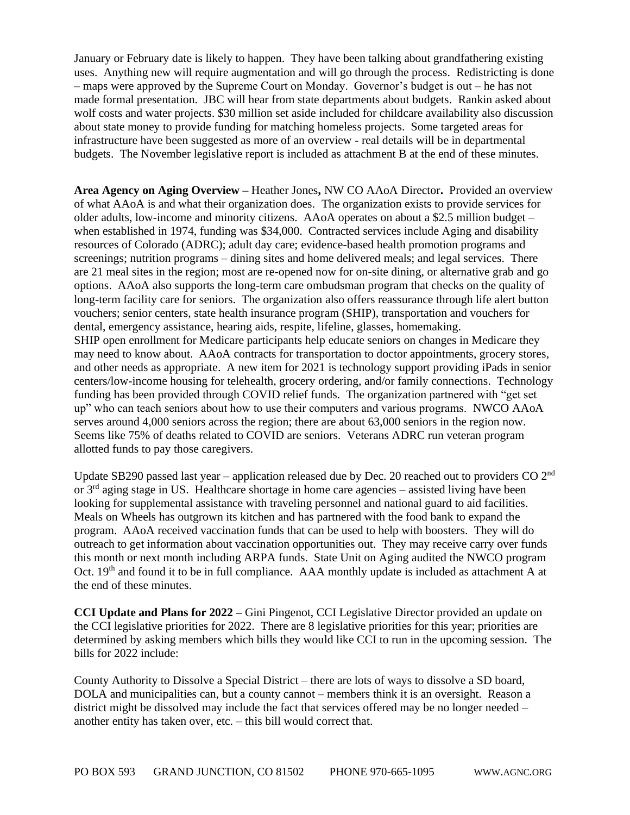January or February date is likely to happen. They have been talking about grandfathering existing uses. Anything new will require augmentation and will go through the process. Redistricting is done – maps were approved by the Supreme Court on Monday. Governor's budget is out – he has not made formal presentation. JBC will hear from state departments about budgets. Rankin asked about wolf costs and water projects. \$30 million set aside included for childcare availability also discussion about state money to provide funding for matching homeless projects. Some targeted areas for infrastructure have been suggested as more of an overview - real details will be in departmental budgets. The November legislative report is included as attachment B at the end of these minutes.

**Area Agency on Aging Overview –** Heather Jones**,** NW CO AAoA Director**.** Provided an overview of what AAoA is and what their organization does. The organization exists to provide services for older adults, low-income and minority citizens. AAoA operates on about a \$2.5 million budget – when established in 1974, funding was \$34,000. Contracted services include Aging and disability resources of Colorado (ADRC); adult day care; evidence-based health promotion programs and screenings; nutrition programs – dining sites and home delivered meals; and legal services. There are 21 meal sites in the region; most are re-opened now for on-site dining, or alternative grab and go options. AAoA also supports the long-term care ombudsman program that checks on the quality of long-term facility care for seniors. The organization also offers reassurance through life alert button vouchers; senior centers, state health insurance program (SHIP), transportation and vouchers for dental, emergency assistance, hearing aids, respite, lifeline, glasses, homemaking. SHIP open enrollment for Medicare participants help educate seniors on changes in Medicare they may need to know about. AAoA contracts for transportation to doctor appointments, grocery stores, and other needs as appropriate. A new item for 2021 is technology support providing iPads in senior centers/low-income housing for telehealth, grocery ordering, and/or family connections. Technology funding has been provided through COVID relief funds. The organization partnered with "get set up" who can teach seniors about how to use their computers and various programs. NWCO AAoA serves around 4,000 seniors across the region; there are about 63,000 seniors in the region now. Seems like 75% of deaths related to COVID are seniors. Veterans ADRC run veteran program allotted funds to pay those caregivers.

Update SB290 passed last year – application released due by Dec. 20 reached out to providers CO  $2<sup>nd</sup>$ or  $3<sup>rd</sup>$  aging stage in US. Healthcare shortage in home care agencies – assisted living have been looking for supplemental assistance with traveling personnel and national guard to aid facilities. Meals on Wheels has outgrown its kitchen and has partnered with the food bank to expand the program. AAoA received vaccination funds that can be used to help with boosters. They will do outreach to get information about vaccination opportunities out. They may receive carry over funds this month or next month including ARPA funds. State Unit on Aging audited the NWCO program Oct. 19<sup>th</sup> and found it to be in full compliance. AAA monthly update is included as attachment A at the end of these minutes.

**CCI Update and Plans for 2022 –** Gini Pingenot, CCI Legislative Director provided an update on the CCI legislative priorities for 2022. There are 8 legislative priorities for this year; priorities are determined by asking members which bills they would like CCI to run in the upcoming session. The bills for 2022 include:

County Authority to Dissolve a Special District – there are lots of ways to dissolve a SD board, DOLA and municipalities can, but a county cannot – members think it is an oversight. Reason a district might be dissolved may include the fact that services offered may be no longer needed – another entity has taken over, etc. – this bill would correct that.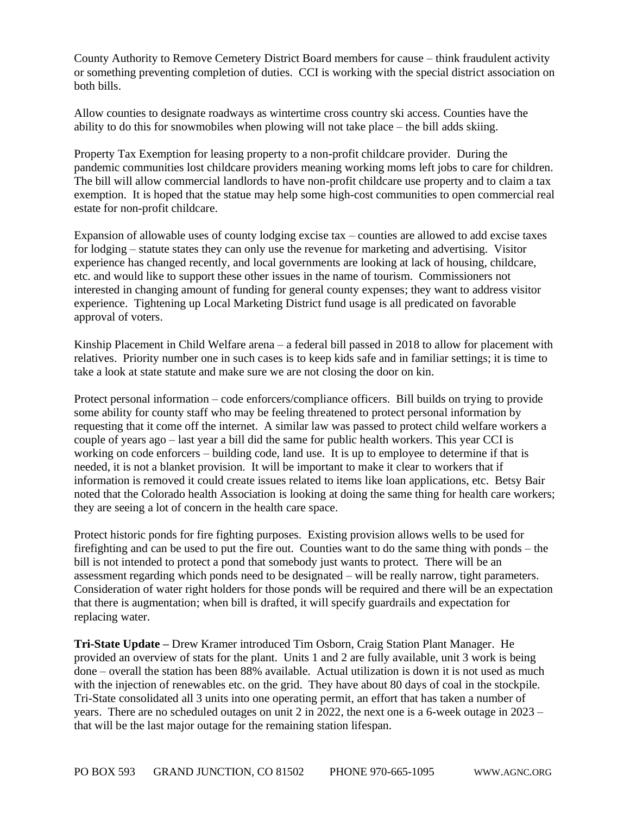County Authority to Remove Cemetery District Board members for cause – think fraudulent activity or something preventing completion of duties. CCI is working with the special district association on both bills.

Allow counties to designate roadways as wintertime cross country ski access. Counties have the ability to do this for snowmobiles when plowing will not take place – the bill adds skiing.

Property Tax Exemption for leasing property to a non-profit childcare provider. During the pandemic communities lost childcare providers meaning working moms left jobs to care for children. The bill will allow commercial landlords to have non-profit childcare use property and to claim a tax exemption. It is hoped that the statue may help some high-cost communities to open commercial real estate for non-profit childcare.

Expansion of allowable uses of county lodging excise tax – counties are allowed to add excise taxes for lodging – statute states they can only use the revenue for marketing and advertising. Visitor experience has changed recently, and local governments are looking at lack of housing, childcare, etc. and would like to support these other issues in the name of tourism. Commissioners not interested in changing amount of funding for general county expenses; they want to address visitor experience. Tightening up Local Marketing District fund usage is all predicated on favorable approval of voters.

Kinship Placement in Child Welfare arena – a federal bill passed in 2018 to allow for placement with relatives. Priority number one in such cases is to keep kids safe and in familiar settings; it is time to take a look at state statute and make sure we are not closing the door on kin.

Protect personal information – code enforcers/compliance officers. Bill builds on trying to provide some ability for county staff who may be feeling threatened to protect personal information by requesting that it come off the internet. A similar law was passed to protect child welfare workers a couple of years ago – last year a bill did the same for public health workers. This year CCI is working on code enforcers – building code, land use. It is up to employee to determine if that is needed, it is not a blanket provision. It will be important to make it clear to workers that if information is removed it could create issues related to items like loan applications, etc. Betsy Bair noted that the Colorado health Association is looking at doing the same thing for health care workers; they are seeing a lot of concern in the health care space.

Protect historic ponds for fire fighting purposes. Existing provision allows wells to be used for firefighting and can be used to put the fire out. Counties want to do the same thing with ponds – the bill is not intended to protect a pond that somebody just wants to protect. There will be an assessment regarding which ponds need to be designated – will be really narrow, tight parameters. Consideration of water right holders for those ponds will be required and there will be an expectation that there is augmentation; when bill is drafted, it will specify guardrails and expectation for replacing water.

**Tri-State Update –** Drew Kramer introduced Tim Osborn, Craig Station Plant Manager. He provided an overview of stats for the plant. Units 1 and 2 are fully available, unit 3 work is being done – overall the station has been 88% available. Actual utilization is down it is not used as much with the injection of renewables etc. on the grid. They have about 80 days of coal in the stockpile. Tri-State consolidated all 3 units into one operating permit, an effort that has taken a number of years. There are no scheduled outages on unit 2 in 2022, the next one is a 6-week outage in 2023 – that will be the last major outage for the remaining station lifespan.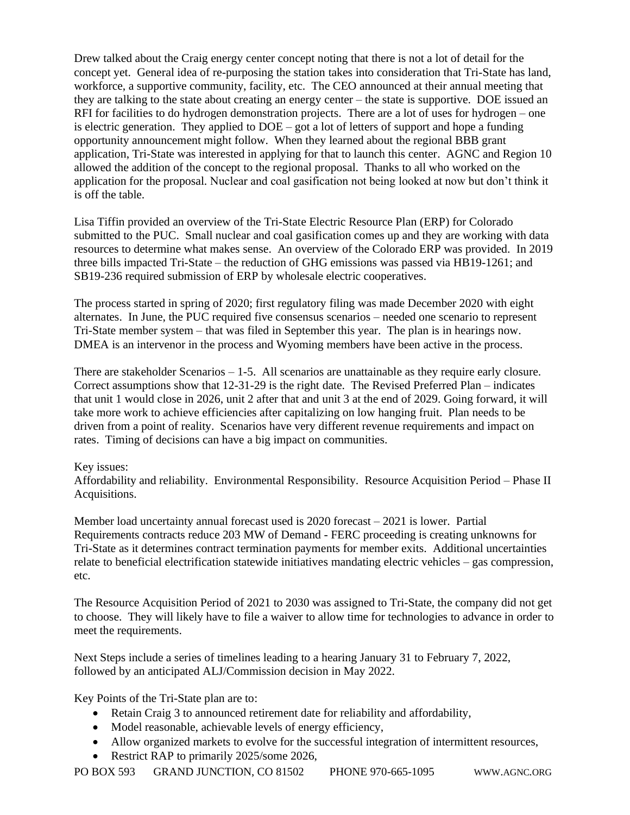Drew talked about the Craig energy center concept noting that there is not a lot of detail for the concept yet. General idea of re-purposing the station takes into consideration that Tri-State has land, workforce, a supportive community, facility, etc. The CEO announced at their annual meeting that they are talking to the state about creating an energy center – the state is supportive. DOE issued an RFI for facilities to do hydrogen demonstration projects. There are a lot of uses for hydrogen – one is electric generation. They applied to DOE – got a lot of letters of support and hope a funding opportunity announcement might follow. When they learned about the regional BBB grant application, Tri-State was interested in applying for that to launch this center. AGNC and Region 10 allowed the addition of the concept to the regional proposal. Thanks to all who worked on the application for the proposal. Nuclear and coal gasification not being looked at now but don't think it is off the table.

Lisa Tiffin provided an overview of the Tri-State Electric Resource Plan (ERP) for Colorado submitted to the PUC. Small nuclear and coal gasification comes up and they are working with data resources to determine what makes sense. An overview of the Colorado ERP was provided. In 2019 three bills impacted Tri-State – the reduction of GHG emissions was passed via HB19-1261; and SB19-236 required submission of ERP by wholesale electric cooperatives.

The process started in spring of 2020; first regulatory filing was made December 2020 with eight alternates. In June, the PUC required five consensus scenarios – needed one scenario to represent Tri-State member system – that was filed in September this year. The plan is in hearings now. DMEA is an intervenor in the process and Wyoming members have been active in the process.

There are stakeholder Scenarios – 1-5. All scenarios are unattainable as they require early closure. Correct assumptions show that 12-31-29 is the right date. The Revised Preferred Plan – indicates that unit 1 would close in 2026, unit 2 after that and unit 3 at the end of 2029. Going forward, it will take more work to achieve efficiencies after capitalizing on low hanging fruit. Plan needs to be driven from a point of reality. Scenarios have very different revenue requirements and impact on rates. Timing of decisions can have a big impact on communities.

#### Key issues:

Affordability and reliability. Environmental Responsibility. Resource Acquisition Period – Phase II Acquisitions.

Member load uncertainty annual forecast used is 2020 forecast – 2021 is lower. Partial Requirements contracts reduce 203 MW of Demand - FERC proceeding is creating unknowns for Tri-State as it determines contract termination payments for member exits. Additional uncertainties relate to beneficial electrification statewide initiatives mandating electric vehicles – gas compression, etc.

The Resource Acquisition Period of 2021 to 2030 was assigned to Tri-State, the company did not get to choose. They will likely have to file a waiver to allow time for technologies to advance in order to meet the requirements.

Next Steps include a series of timelines leading to a hearing January 31 to February 7, 2022, followed by an anticipated ALJ/Commission decision in May 2022.

Key Points of the Tri-State plan are to:

- Retain Craig 3 to announced retirement date for reliability and affordability,
- Model reasonable, achievable levels of energy efficiency,
- Allow organized markets to evolve for the successful integration of intermittent resources,
- Restrict RAP to primarily 2025/some 2026,

PO BOX 593 GRAND JUNCTION, CO 81502 PHONE 970-665-1095 WWW.AGNC.ORG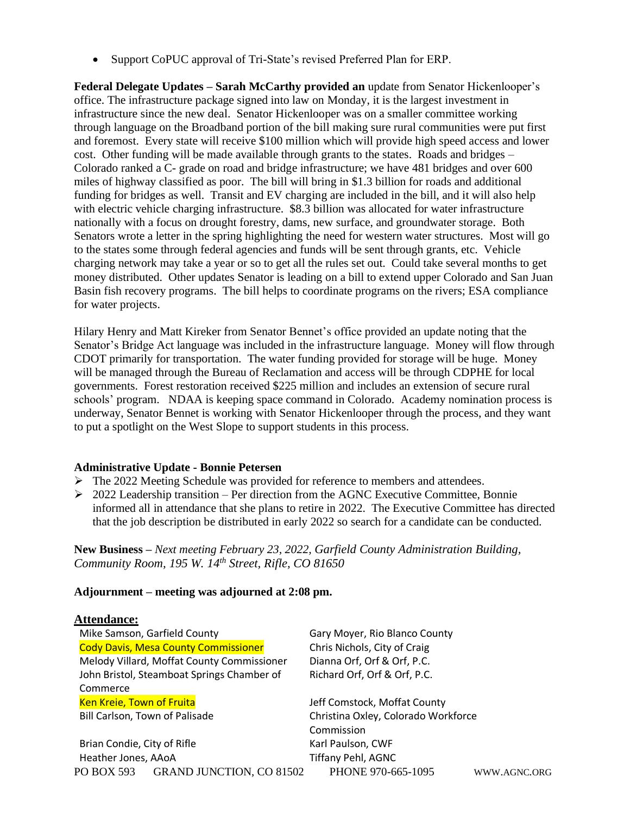• Support CoPUC approval of Tri-State's revised Preferred Plan for ERP.

**Federal Delegate Updates – Sarah McCarthy provided an** update from Senator Hickenlooper's office. The infrastructure package signed into law on Monday, it is the largest investment in infrastructure since the new deal. Senator Hickenlooper was on a smaller committee working through language on the Broadband portion of the bill making sure rural communities were put first and foremost. Every state will receive \$100 million which will provide high speed access and lower cost. Other funding will be made available through grants to the states. Roads and bridges – Colorado ranked a C- grade on road and bridge infrastructure; we have 481 bridges and over 600 miles of highway classified as poor. The bill will bring in \$1.3 billion for roads and additional funding for bridges as well. Transit and EV charging are included in the bill, and it will also help with electric vehicle charging infrastructure. \$8.3 billion was allocated for water infrastructure nationally with a focus on drought forestry, dams, new surface, and groundwater storage. Both Senators wrote a letter in the spring highlighting the need for western water structures. Most will go to the states some through federal agencies and funds will be sent through grants, etc. Vehicle charging network may take a year or so to get all the rules set out. Could take several months to get money distributed. Other updates Senator is leading on a bill to extend upper Colorado and San Juan Basin fish recovery programs. The bill helps to coordinate programs on the rivers; ESA compliance for water projects.

Hilary Henry and Matt Kireker from Senator Bennet's office provided an update noting that the Senator's Bridge Act language was included in the infrastructure language. Money will flow through CDOT primarily for transportation. The water funding provided for storage will be huge. Money will be managed through the Bureau of Reclamation and access will be through CDPHE for local governments. Forest restoration received \$225 million and includes an extension of secure rural schools' program. NDAA is keeping space command in Colorado. Academy nomination process is underway, Senator Bennet is working with Senator Hickenlooper through the process, and they want to put a spotlight on the West Slope to support students in this process.

## **Administrative Update - Bonnie Petersen**

- ➢ The 2022 Meeting Schedule was provided for reference to members and attendees.
- $\geq 2022$  Leadership transition Per direction from the AGNC Executive Committee, Bonnie informed all in attendance that she plans to retire in 2022. The Executive Committee has directed that the job description be distributed in early 2022 so search for a candidate can be conducted.

**New Business –** *Next meeting February 23, 2022, Garfield County Administration Building, Community Room, 195 W. 14th Street, Rifle, CO 81650*

#### **Adjournment – meeting was adjourned at 2:08 pm.**

#### **Attendance:**

Mike Samson, Garfield County Gary Moyer, Rio Blanco County Cody Davis, Mesa County Commissioner Chris Nichols, City of Craig Melody Villard, Moffat County Commissioner Dianna Orf, Orf & Orf, P.C. John Bristol, Steamboat Springs Chamber of Commerce Ken Kreie, Town of Fruita **Jeff Comstock, Moffat County** Bill Carlson, Town of Palisade Christina Oxley, Colorado Workforce

PO BOX 593 GRAND JUNCTION, CO 81502 PHONE 970-665-1095 WWW.AGNC.ORG Brian Condie, City of Rifle Karl Paulson, CWF Heather Jones, AAoA Tiffany Pehl, AGNC

Richard Orf, Orf & Orf, P.C.

Commission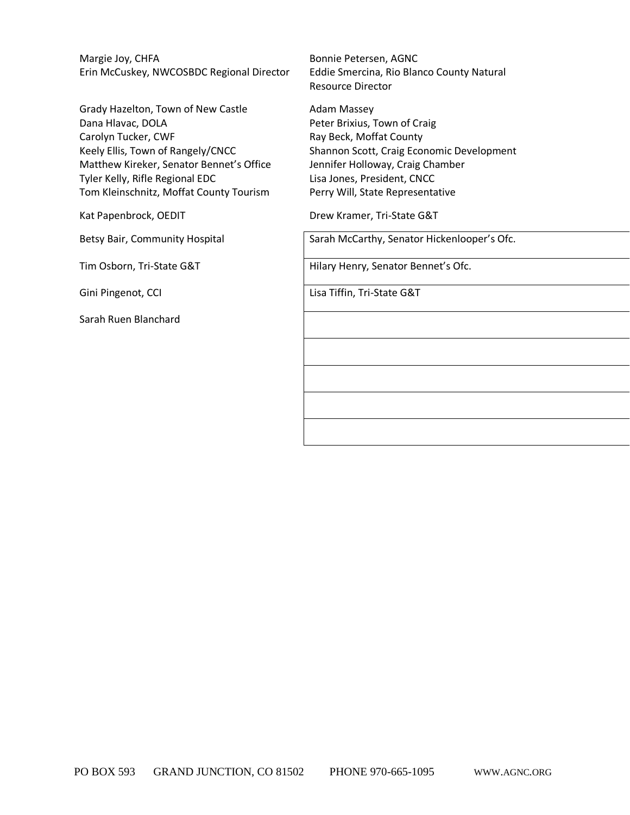Margie Joy, CHFA Bonnie Petersen, AGNC Erin McCuskey, NWCOSBDC Regional Director Eddie Smercina, Rio Blanco County Natural

Grady Hazelton, Town of New Castle **Adam Massey** Dana Hlavac, DOLA **Peter Brixius, Town of Craig** Carolyn Tucker, CWF Turner Carolyn Tucker, CWF Ray Beck, Moffat County Matthew Kireker, Senator Bennet's Office Jennifer Holloway, Craig Chamber Tyler Kelly, Rifle Regional EDC Lisa Jones, President, CNCC Tom Kleinschnitz, Moffat County Tourism Perry Will, State Representative

Sarah Ruen Blanchard

Resource Director

Keely Ellis, Town of Rangely/CNCC Shannon Scott, Craig Economic Development

Kat Papenbrock, OEDIT **Drew Kramer, Tri-State G&T** 

Betsy Bair, Community Hospital Sarah McCarthy, Senator Hickenlooper's Ofc.

Tim Osborn, Tri-State G&T Hilary Henry, Senator Bennet's Ofc.

Gini Pingenot, CCI Lisa Tiffin, Tri-State G&T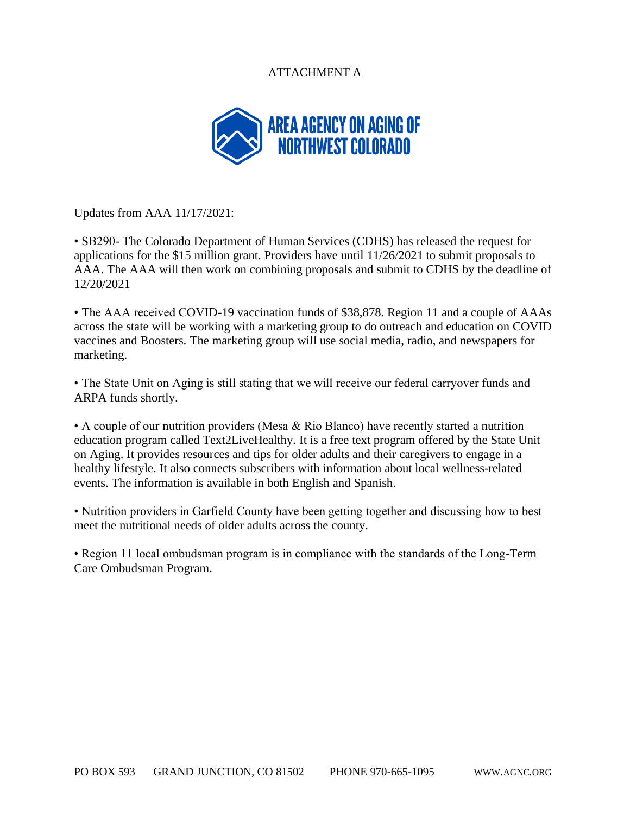## ATTACHMENT A



Updates from AAA 11/17/2021:

• SB290- The Colorado Department of Human Services (CDHS) has released the request for applications for the \$15 million grant. Providers have until 11/26/2021 to submit proposals to AAA. The AAA will then work on combining proposals and submit to CDHS by the deadline of 12/20/2021

• The AAA received COVID-19 vaccination funds of \$38,878. Region 11 and a couple of AAAs across the state will be working with a marketing group to do outreach and education on COVID vaccines and Boosters. The marketing group will use social media, radio, and newspapers for marketing.

• The State Unit on Aging is still stating that we will receive our federal carryover funds and ARPA funds shortly.

• A couple of our nutrition providers (Mesa & Rio Blanco) have recently started a nutrition education program called Text2LiveHealthy. It is a free text program offered by the State Unit on Aging. It provides resources and tips for older adults and their caregivers to engage in a healthy lifestyle. It also connects subscribers with information about local wellness-related events. The information is available in both English and Spanish.

• Nutrition providers in Garfield County have been getting together and discussing how to best meet the nutritional needs of older adults across the county.

• Region 11 local ombudsman program is in compliance with the standards of the Long-Term Care Ombudsman Program.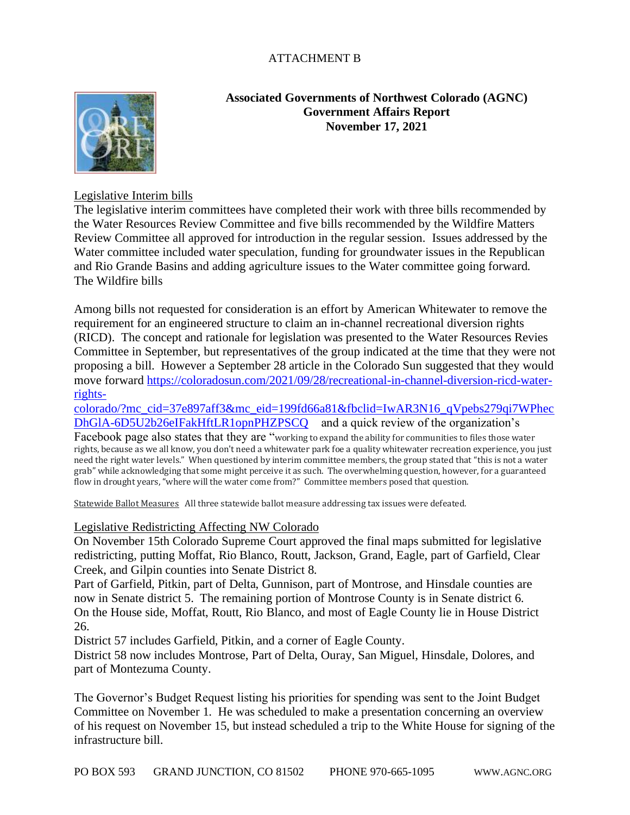## ATTACHMENT B



## **Associated Governments of Northwest Colorado (AGNC) Government Affairs Report November 17, 2021**

## Legislative Interim bills

The legislative interim committees have completed their work with three bills recommended by the Water Resources Review Committee and five bills recommended by the Wildfire Matters Review Committee all approved for introduction in the regular session. Issues addressed by the Water committee included water speculation, funding for groundwater issues in the Republican and Rio Grande Basins and adding agriculture issues to the Water committee going forward. The Wildfire bills

Among bills not requested for consideration is an effort by American Whitewater to remove the requirement for an engineered structure to claim an in-channel recreational diversion rights (RICD). The concept and rationale for legislation was presented to the Water Resources Revies Committee in September, but representatives of the group indicated at the time that they were not proposing a bill. However a September 28 article in the Colorado Sun suggested that they would move forward [https://coloradosun.com/2021/09/28/recreational-in-channel-diversion-ricd-water](https://coloradosun.com/2021/09/28/recreational-in-channel-diversion-ricd-water-rights-colorado/?mc_cid=37e897aff3&mc_eid=199fd66a81&fbclid=IwAR3N16_qVpebs279qi7WPhecDhGlA-6D5U2b26eIFakHftLR1opnPHZPSCQ)[rights-](https://coloradosun.com/2021/09/28/recreational-in-channel-diversion-ricd-water-rights-colorado/?mc_cid=37e897aff3&mc_eid=199fd66a81&fbclid=IwAR3N16_qVpebs279qi7WPhecDhGlA-6D5U2b26eIFakHftLR1opnPHZPSCQ)

[colorado/?mc\\_cid=37e897aff3&mc\\_eid=199fd66a81&fbclid=IwAR3N16\\_qVpebs279qi7WPhec](https://coloradosun.com/2021/09/28/recreational-in-channel-diversion-ricd-water-rights-colorado/?mc_cid=37e897aff3&mc_eid=199fd66a81&fbclid=IwAR3N16_qVpebs279qi7WPhecDhGlA-6D5U2b26eIFakHftLR1opnPHZPSCQ) [DhGlA-6D5U2b26eIFakHftLR1opnPHZPSCQ](https://coloradosun.com/2021/09/28/recreational-in-channel-diversion-ricd-water-rights-colorado/?mc_cid=37e897aff3&mc_eid=199fd66a81&fbclid=IwAR3N16_qVpebs279qi7WPhecDhGlA-6D5U2b26eIFakHftLR1opnPHZPSCQ) and a quick review of the organization's Facebook page also states that they are "working to expand the ability for communities to files those water rights, because as we all know, you don't need a whitewater park foe a quality whitewater recreation experience, you just need the right water levels." When questioned by interim committee members, the group stated that "this is not a water grab" while acknowledging that some might perceive it as such. The overwhelming question, however, for a guaranteed

flow in drought years, "where will the water come from?" Committee members posed that question.

Statewide Ballot Measures All three statewide ballot measure addressing tax issues were defeated.

## Legislative Redistricting Affecting NW Colorado

On November 15th Colorado Supreme Court approved the final maps submitted for legislative redistricting, putting Moffat, Rio Blanco, Routt, Jackson, Grand, Eagle, part of Garfield, Clear Creek, and Gilpin counties into Senate District 8.

Part of Garfield, Pitkin, part of Delta, Gunnison, part of Montrose, and Hinsdale counties are now in Senate district 5. The remaining portion of Montrose County is in Senate district 6. On the House side, Moffat, Routt, Rio Blanco, and most of Eagle County lie in House District 26.

District 57 includes Garfield, Pitkin, and a corner of Eagle County.

District 58 now includes Montrose, Part of Delta, Ouray, San Miguel, Hinsdale, Dolores, and part of Montezuma County.

The Governor's Budget Request listing his priorities for spending was sent to the Joint Budget Committee on November 1. He was scheduled to make a presentation concerning an overview of his request on November 15, but instead scheduled a trip to the White House for signing of the infrastructure bill.